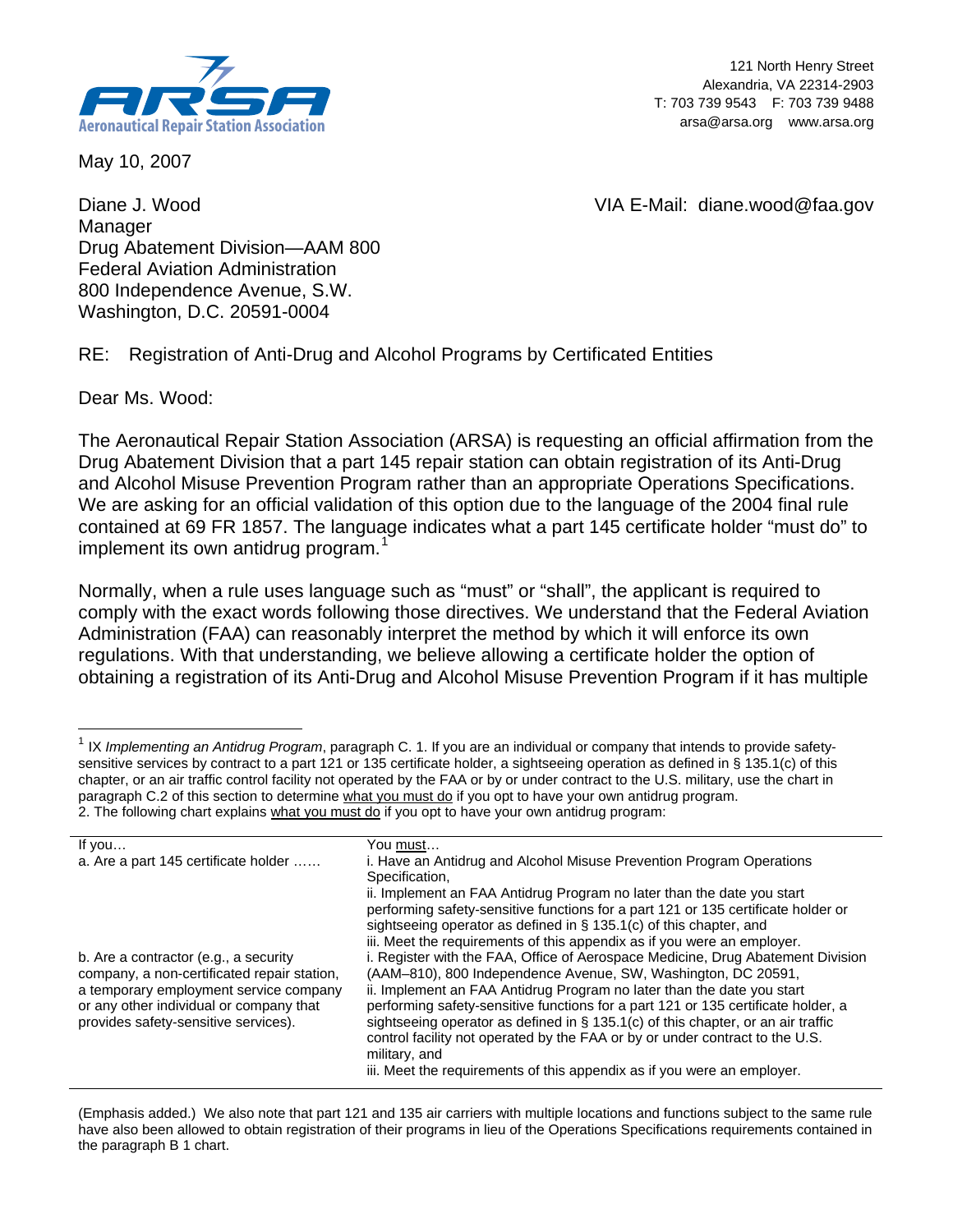

May 10, 2007

121 North Henry Street Alexandria, VA 22314-2903 T: 703 739 9543 F: 703 739 9488 arsa@arsa.org www.arsa.org

VIA E-Mail: diane.wood@faa.gov

Diane J. Wood Manager Drug Abatement Division—AAM 800 Federal Aviation Administration 800 Independence Avenue, S.W. Washington, D.C. 20591-0004

RE: Registration of Anti-Drug and Alcohol Programs by Certificated Entities

Dear Ms. Wood:

l

The Aeronautical Repair Station Association (ARSA) is requesting an official affirmation from the Drug Abatement Division that a part 145 repair station can obtain registration of its Anti-Drug and Alcohol Misuse Prevention Program rather than an appropriate Operations Specifications. We are asking for an official validation of this option due to the language of the 2004 final rule contained at 69 FR 1857. The language indicates what a part 145 certificate holder "must do" to implement its own antidrug program.<sup>[1](#page-0-0)</sup>

Normally, when a rule uses language such as "must" or "shall", the applicant is required to comply with the exact words following those directives. We understand that the Federal Aviation Administration (FAA) can reasonably interpret the method by which it will enforce its own regulations. With that understanding, we believe allowing a certificate holder the option of obtaining a registration of its Anti-Drug and Alcohol Misuse Prevention Program if it has multiple

<span id="page-0-0"></span><sup>1</sup> IX *Implementing an Antidrug Program*, paragraph C. 1. If you are an individual or company that intends to provide safetysensitive services by contract to a part 121 or 135 certificate holder, a sightseeing operation as defined in § 135.1(c) of this chapter, or an air traffic control facility not operated by the FAA or by or under contract to the U.S. military, use the chart in paragraph C.2 of this section to determine what you must do if you opt to have your own antidrug program. 2. The following chart explains what you must do if you opt to have your own antidrug program:

| If you                                      | You must…                                                                           |
|---------------------------------------------|-------------------------------------------------------------------------------------|
| a. Are a part 145 certificate holder        | i. Have an Antidrug and Alcohol Misuse Prevention Program Operations                |
|                                             | Specification,                                                                      |
|                                             | ii. Implement an FAA Antidrug Program no later than the date you start              |
|                                             | performing safety-sensitive functions for a part 121 or 135 certificate holder or   |
|                                             | sightseeing operator as defined in $\S$ 135.1(c) of this chapter, and               |
|                                             | iii. Meet the requirements of this appendix as if you were an employer.             |
| b. Are a contractor (e.g., a security       | i. Register with the FAA, Office of Aerospace Medicine, Drug Abatement Division     |
| company, a non-certificated repair station, | (AAM-810), 800 Independence Avenue, SW, Washington, DC 20591,                       |
| a temporary employment service company      | ii. Implement an FAA Antidrug Program no later than the date you start              |
| or any other individual or company that     | performing safety-sensitive functions for a part 121 or 135 certificate holder, a   |
| provides safety-sensitive services).        | sightseeing operator as defined in $\S$ 135.1(c) of this chapter, or an air traffic |
|                                             | control facility not operated by the FAA or by or under contract to the U.S.        |
|                                             | military, and                                                                       |
|                                             | iii. Meet the requirements of this appendix as if you were an employer.             |
|                                             |                                                                                     |

(Emphasis added.) We also note that part 121 and 135 air carriers with multiple locations and functions subject to the same rule have also been allowed to obtain registration of their programs in lieu of the Operations Specifications requirements contained in the paragraph B 1 chart.